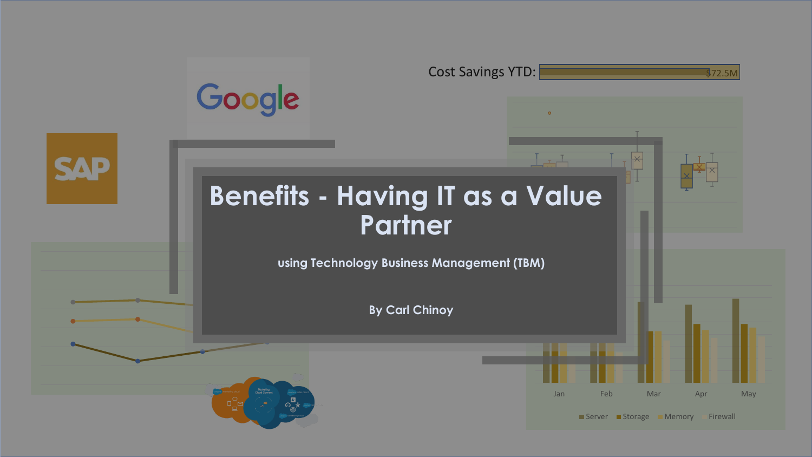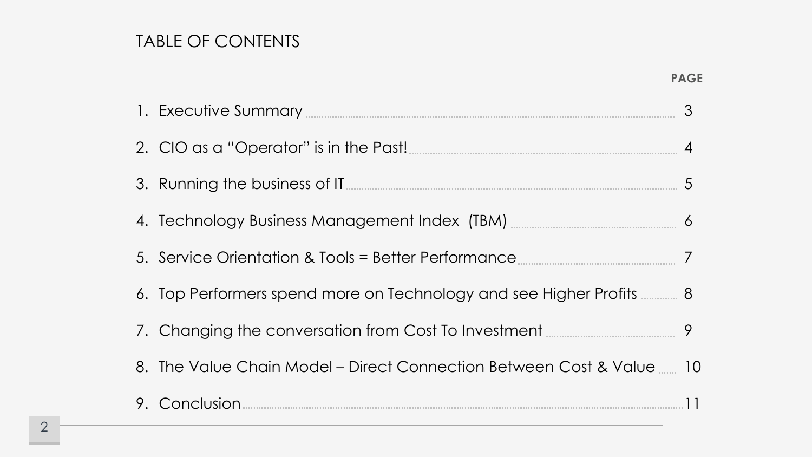# TABLE OF CONTENTS

| 1. Executive Summary <b>Executive</b> Summary                               | $\mathcal{S}$  |
|-----------------------------------------------------------------------------|----------------|
| 2. CIO as a "Operator" is in the Past!                                      | $\overline{4}$ |
|                                                                             |                |
| 4. Technology Business Management Index (TBM) <b>Entitled State Index</b> 6 |                |
|                                                                             |                |
| 6. Top Performers spend more on Technology and see Higher Profits  8        |                |
| 7. Changing the conversation from Cost To Investment <b>COSE</b> 3          |                |
| 8. The Value Chain Model - Direct Connection Between Cost & Value  10       |                |
|                                                                             |                |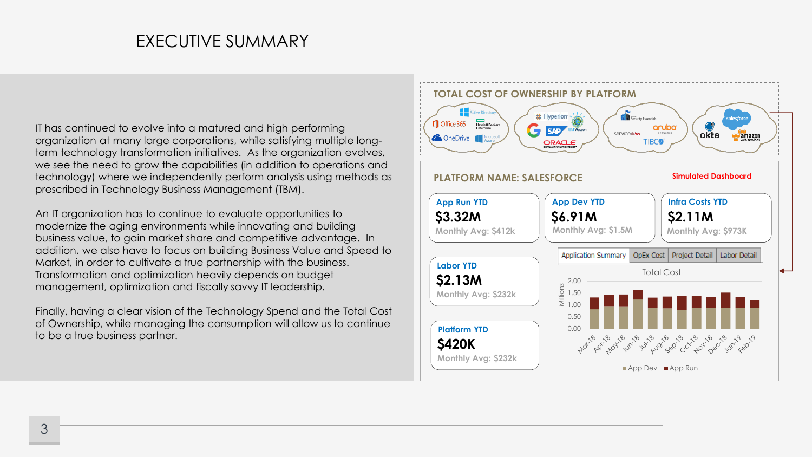### EXECUTIVE SUMMARY

IT has continued to evolve into a matured and high performing organization at many large corporations, while satisfying multiple longterm technology transformation initiatives. As the organization evolves, we see the need to grow the capabilities (in addition to operations and technology) where we independently perform analysis using methods as prescribed in Technology Business Management (TBM).

An IT organization has to continue to evaluate opportunities to modernize the aging environments while innovating and building business value, to gain market share and competitive advantage. In addition, we also have to focus on building Business Value and Speed to Market, in order to cultivate a true partnership with the business. Transformation and optimization heavily depends on budget management, optimization and fiscally savvy IT leadership.

Finally, having a clear vision of the Technology Spend and the Total Cost of Ownership, while managing the consumption will allow us to continue to be a true business partner.

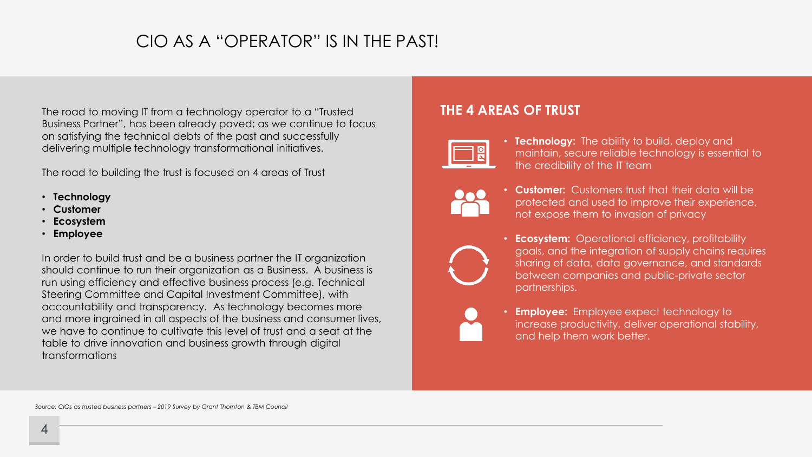# CIO AS A "OPERATOR" IS IN THE PAST!

The road to moving IT from a technology operator to a "Trusted Business Partner", has been already paved; as we continue to focus on satisfying the technical debts of the past and successfully delivering multiple technology transformational initiatives.

The road to building the trust is focused on 4 areas of Trust

- **Technology**
- **Customer**
- **Ecosystem**
- **Employee**

In order to build trust and be a business partner the IT organization should continue to run their organization as a Business. A business is run using efficiency and effective business process (e.g. Technical Steering Committee and Capital Investment Committee), with accountability and transparency. As technology becomes more and more ingrained in all aspects of the business and consumer lives, we have to continue to cultivate this level of trust and a seat at the table to drive innovation and business growth through digital transformations

### **THE 4 AREAS OF TRUST**



- **Technology:** The ability to build, deploy and maintain, secure reliable technology is essential to the credibility of the IT team
- 
- **Customer:** Customers trust that their data will be protected and used to improve their experience, not expose them to invasion of privacy



- **Ecosystem:** Operational efficiency, profitability goals, and the integration of supply chains requires sharing of data, data governance, and standards between companies and public-private sector partnerships.
- **Employee:** Employee expect technology to increase productivity, deliver operational stability, and help them work better.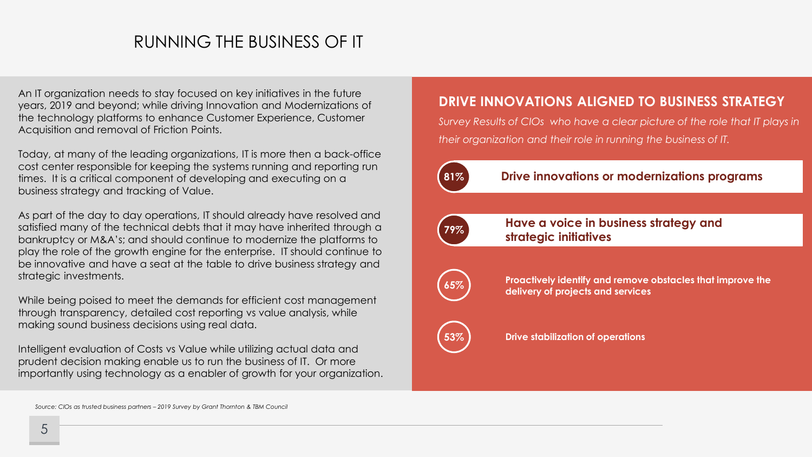## RUNNING THE BUSINESS OF IT

An IT organization needs to stay focused on key initiatives in the future years, 2019 and beyond; while driving Innovation and Modernizations of the technology platforms to enhance Customer Experience, Customer Acquisition and removal of Friction Points.

Today, at many of the leading organizations, IT is more then a back-office cost center responsible for keeping the systems running and reporting run times. It is a critical component of developing and executing on a business strategy and tracking of Value.

As part of the day to day operations, IT should already have resolved and satisfied many of the technical debts that it may have inherited through a bankruptcy or M&A's; and should continue to modernize the platforms to play the role of the growth engine for the enterprise. IT should continue to be innovative and have a seat at the table to drive business strategy and strategic investments.

While being poised to meet the demands for efficient cost management through transparency, detailed cost reporting vs value analysis, while making sound business decisions using real data.

Intelligent evaluation of Costs vs Value while utilizing actual data and prudent decision making enable us to run the business of IT. Or more importantly using technology as a enabler of growth for your organization.

### **DRIVE INNOVATIONS ALIGNED TO BUSINESS STRATEGY**

*Survey Results of CIOs who have a clear picture of the role that IT plays in their organization and their role in running the business of IT.* 



### **81% Drive innovations or modernizations programs**



**Have a voice in business strategy and strategic initiatives**



**Proactively identify and remove obstacles that improve the delivery of projects and services**



**Drive stabilization of operations**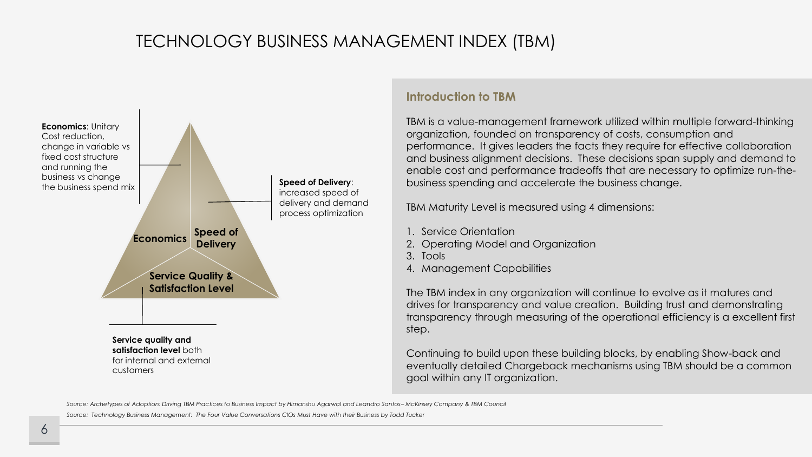# TECHNOLOGY BUSINESS MANAGEMENT INDEX (TBM)



### **Introduction to TBM**

TBM is a value-management framework utilized within multiple forward-thinking organization, founded on transparency of costs, consumption and performance. It gives leaders the facts they require for effective collaboration and business alignment decisions. These decisions span supply and demand to enable cost and performance tradeoffs that are necessary to optimize run-thebusiness spending and accelerate the business change.

TBM Maturity Level is measured using 4 dimensions:

- 1. Service Orientation
- 2. Operating Model and Organization
- 3. Tools
- 4. Management Capabilities

The TBM index in any organization will continue to evolve as it matures and drives for transparency and value creation. Building trust and demonstrating transparency through measuring of the operational efficiency is a excellent first step.

Continuing to build upon these building blocks, by enabling Show-back and eventually detailed Chargeback mechanisms using TBM should be a common goal within any IT organization.

*Source: Archetypes of Adoption: Driving TBM Practices to Business Impact by Himanshu Agarwal and Leandro Santos– McKinsey Company & TBM Council Source: Technology Business Management: The Four Value Conversations CIOs Must Have with their Business by Todd Tucker*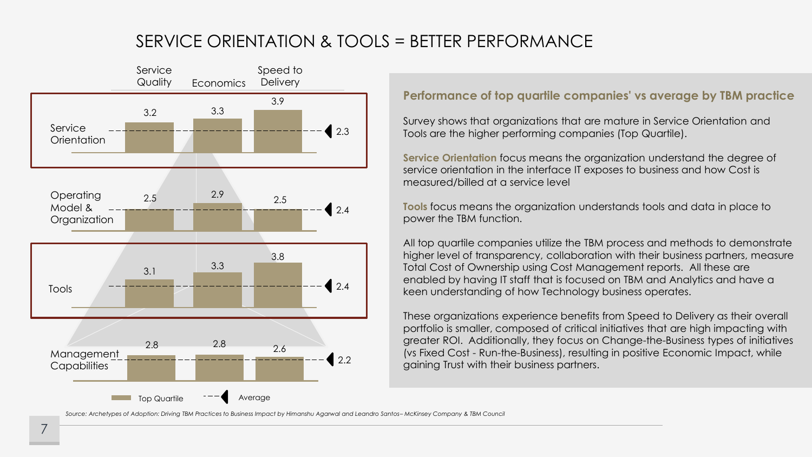# SERVICE ORIENTATION & TOOLS = BETTER PERFORMANCE



### **Performance of top quartile companies' vs average by TBM practice**

Survey shows that organizations that are mature in Service Orientation and Tools are the higher performing companies (Top Quartile).

**Service Orientation** focus means the organization understand the degree of service orientation in the interface IT exposes to business and how Cost is measured/billed at a service level

**Tools** focus means the organization understands tools and data in place to power the TBM function.

All top quartile companies utilize the TBM process and methods to demonstrate higher level of transparency, collaboration with their business partners, measure Total Cost of Ownership using Cost Management reports. All these are enabled by having IT staff that is focused on TBM and Analytics and have a keen understanding of how Technology business operates.

These organizations experience benefits from Speed to Delivery as their overall portfolio is smaller, composed of critical initiatives that are high impacting with greater ROI. Additionally, they focus on Change-the-Business types of initiatives (vs Fixed Cost - Run-the-Business), resulting in positive Economic Impact, while gaining Trust with their business partners.

*Source: Archetypes of Adoption: Driving TBM Practices to Business Impact by Himanshu Agarwal and Leandro Santos– McKinsey Company & TBM Council*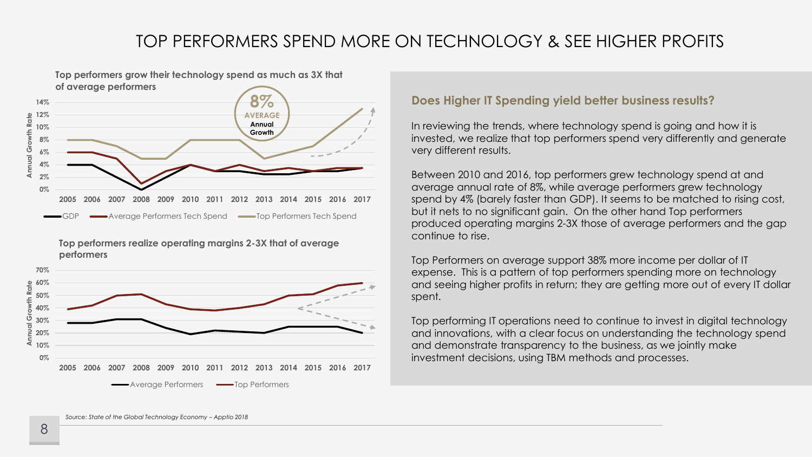# TOP PERFORMERS SPEND MORE ON TECHNOLOGY & SEE HIGHER PROFITS



**Top performers realize operating margins 2-3X that of average performers**



#### **Does Higher IT Spending yield better business results?**

In reviewing the trends, where technology spend is going and how it is invested, we realize that top performers spend very differently and generate very different results.

Between 2010 and 2016, top performers grew technology spend at and average annual rate of 8%, while average performers grew technology spend by 4% (barely faster than GDP). It seems to be matched to rising cost, but it nets to no significant gain. On the other hand Top performers produced operating margins 2-3X those of average performers and the gap continue to rise.

Top Performers on average support 38% more income per dollar of IT expense. This is a pattern of top performers spending more on technology and seeing higher profits in return; they are getting more out of every IT dollar spent.

Top performing IT operations need to continue to invest in digital technology and innovations, with a clear focus on understanding the technology spend and demonstrate transparency to the business, as we jointly make investment decisions, using TBM methods and processes.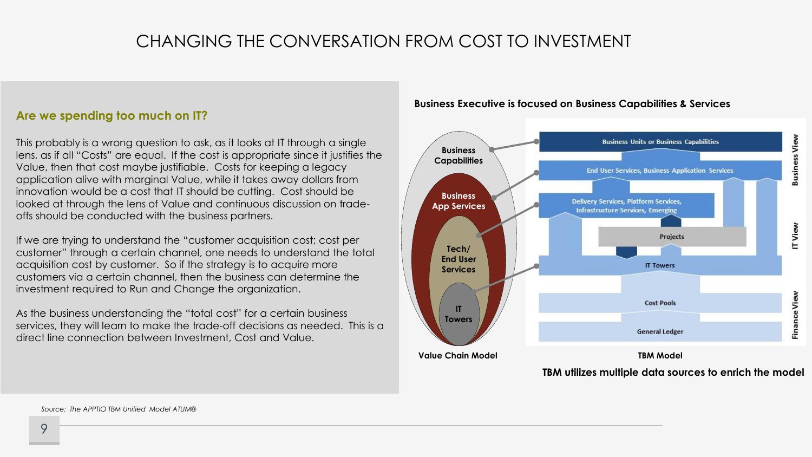# CHANGING THE CONVERSATION FROM COST TO INVESTMENT

#### **Are we spending too much on IT?**

This probably is a wrong question to ask, as it looks at IT through a single lens, as if all "Costs" are equal. If the cost is appropriate since it justifies the Value, then that cost maybe justifiable. Costs for keeping a legacy application alive with marginal Value, while it takes away dollars from innovation would be a cost that IT should be cutting. Cost should be looked at through the lens of Value and continuous discussion on tradeoffs should be conducted with the business partners.

If we are trying to understand the "customer acquisition cost; cost per customer" through a certain channel, one needs to understand the total acquisition cost by customer. So if the strategy is to acquire more customers via a certain channel, then the business can determine the investment required to Run and Change the organization.

As the business understanding the "total cost" for a certain business services, they will learn to make the trade-off decisions as needed. This is a direct line connection between Investment, Cost and Value.

#### **Business Executive is focused on Business Capabilities & Services**



**TBM utilizes multiple data sources to enrich the model**

*Source: The APPTIO TBM Unified Model ATUM®*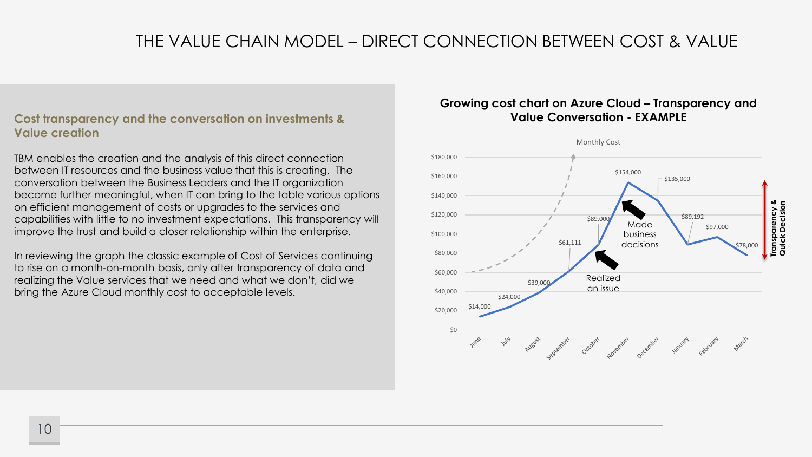# THE VALUE CHAIN MODEL – DIRECT CONNECTION BETWEEN COST & VALUE

#### **Cost transparency and the conversation on investments & Value creation**

TBM enables the creation and the analysis of this direct connection between IT resources and the business value that this is creating. The conversation between the Business Leaders and the IT organization become further meaningful, when IT can bring to the table various options on efficient management of costs or upgrades to the services and capabilities with little to no investment expectations. This transparency will improve the trust and build a closer relationship within the enterprise.

In reviewing the graph the classic example of Cost of Services continuing to rise on a month-on-month basis, only after transparency of data and realizing the Value services that we need and what we don't, did we bring the Azure Cloud monthly cost to acceptable levels.

### Growing cost chart on Azure Cloud – Transparency and **Value Conversation - EXAMPLE**

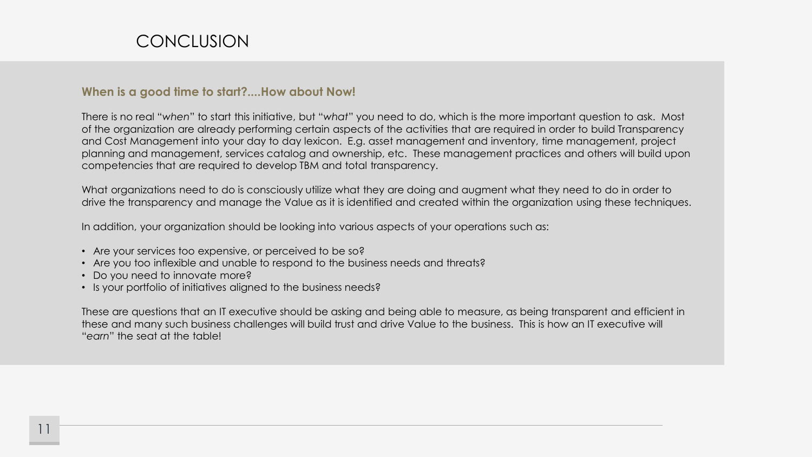#### **When is a good time to start?....How about Now!**

There is no real "*when*" to start this initiative, but "*what*" you need to do, which is the more important question to ask. Most of the organization are already performing certain aspects of the activities that are required in order to build Transparency and Cost Management into your day to day lexicon. E.g. asset management and inventory, time management, project planning and management, services catalog and ownership, etc. These management practices and others will build upon competencies that are required to develop TBM and total transparency.

What organizations need to do is consciously utilize what they are doing and augment what they need to do in order to drive the transparency and manage the Value as it is identified and created within the organization using these techniques.

In addition, your organization should be looking into various aspects of your operations such as:

- Are your services too expensive, or perceived to be so?
- Are you too inflexible and unable to respond to the business needs and threats?
- Do you need to innovate more?
- Is your portfolio of initiatives aligned to the business needs?

These are questions that an IT executive should be asking and being able to measure, as being transparent and efficient in these and many such business challenges will build trust and drive Value to the business. This is how an IT executive will "*earn*" the seat at the table!